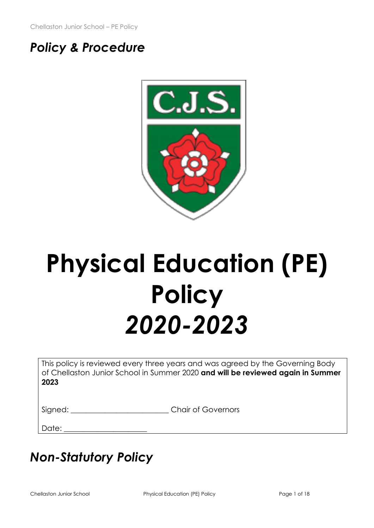# *Policy & Procedure*



# **Physical Education (PE) Policy** *2020-2023*

This policy is reviewed every three years and was agreed by the Governing Body of Chellaston Junior School in Summer 2020 **and will be reviewed again in Summer 2023**

Signed:  $\Box$  Chair of Governors

Date:

# *Non-Statutory Policy*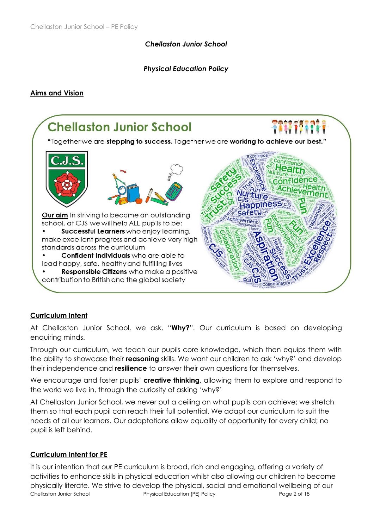## *Chellaston Junior School*

## *Physical Education Policy*

#### **Aims and Vision**



#### **Curriculum Intent**

At Chellaston Junior School, we ask, "**Why?**". Our curriculum is based on developing enquiring minds.

Through our curriculum, we teach our pupils core knowledge, which then equips them with the ability to showcase their **reasoning** skills. We want our children to ask 'why?' and develop their independence and **resilience** to answer their own questions for themselves.

We encourage and foster pupils' **creative thinking**, allowing them to explore and respond to the world we live in, through the curiosity of asking 'why?'

At Chellaston Junior School, we never put a ceiling on what pupils can achieve; we stretch them so that each pupil can reach their full potential. We adapt our curriculum to suit the needs of all our learners. Our adaptations allow equality of opportunity for every child; no pupil is left behind.

#### **Curriculum Intent for PE**

Chellaston Junior School Physical Education (PE) Policy Page 2 of 18 It is our intention that our PE curriculum is broad, rich and engaging, offering a variety of activities to enhance skills in physical education whilst also allowing our children to become physically literate. We strive to develop the physical, social and emotional wellbeing of our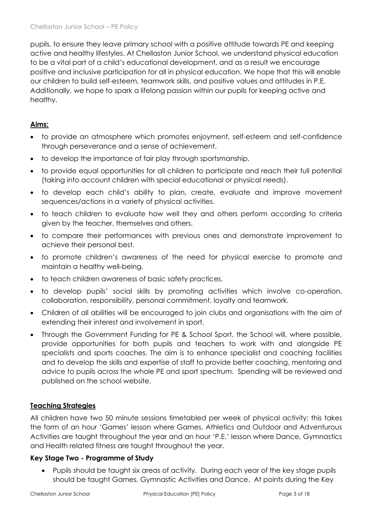pupils, to ensure they leave primary school with a positive attitude towards PE and keeping active and healthy lifestyles. At Chellaston Junior School, we understand physical education to be a vital part of a child's educational development, and as a result we encourage positive and inclusive participation for all in physical education. We hope that this will enable our children to build self-esteem, teamwork skills, and positive values and attitudes in P.E. Additionally, we hope to spark a lifelong passion within our pupils for keeping active and healthy.

# **Aims:**

- to provide an atmosphere which promotes enjoyment, self-esteem and self-confidence through perseverance and a sense of achievement.
- to develop the importance of fair play through sportsmanship.
- to provide equal opportunities for all children to participate and reach their full potential (taking into account children with special educational or physical needs).
- to develop each child's ability to plan, create, evaluate and improve movement sequences/actions in a variety of physical activities.
- to teach children to evaluate how well they and others perform according to criteria given by the teacher, themselves and others.
- to compare their performances with previous ones and demonstrate improvement to achieve their personal best.
- to promote children's awareness of the need for physical exercise to promote and maintain a healthy well-being.
- to teach children awareness of basic safety practices.
- to develop pupils' social skills by promoting activities which involve co-operation, collaboration, responsibility, personal commitment, loyalty and teamwork.
- Children of all abilities will be encouraged to join clubs and organisations with the aim of extending their interest and involvement in sport.
- Through the Government Funding for PE & School Sport, the School will, where possible, provide opportunities for both pupils and teachers to work with and alongside PE specialists and sports coaches. The aim is to enhance specialist and coaching facilities and to develop the skills and expertise of staff to provide better coaching, mentoring and advice to pupils across the whole PE and sport spectrum. Spending will be reviewed and published on the school website.

# **Teaching Strategies**

All children have two 50 minute sessions timetabled per week of physical activity; this takes the form of an hour 'Games' lesson where Games, Athletics and Outdoor and Adventurous Activities are taught throughout the year and an hour 'P.E.' lesson where Dance, Gymnastics and Health related fitness are taught throughout the year.

# **Key Stage Two - Programme of Study**

• Pupils should be taught six areas of activity. During each year of the key stage pupils should be taught Games, Gymnastic Activities and Dance. At points during the Key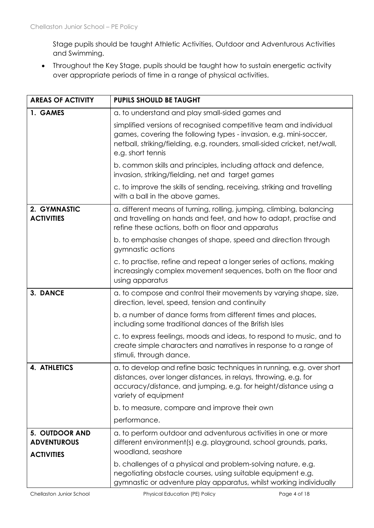Stage pupils should be taught Athletic Activities, Outdoor and Adventurous Activities and Swimming.

• Throughout the Key Stage, pupils should be taught how to sustain energetic activity over appropriate periods of time in a range of physical activities.

| <b>AREAS OF ACTIVITY</b>                                         | <b>PUPILS SHOULD BE TAUGHT</b>                                                                                                                                                                                                           |  |
|------------------------------------------------------------------|------------------------------------------------------------------------------------------------------------------------------------------------------------------------------------------------------------------------------------------|--|
| 1. GAMES                                                         | a. to understand and play small-sided games and                                                                                                                                                                                          |  |
|                                                                  | simplified versions of recognised competitive team and individual<br>games, covering the following types - invasion, e.g. mini-soccer,<br>netball, striking/fielding, e.g. rounders, small-sided cricket, net/wall,<br>e.g. short tennis |  |
|                                                                  | b. common skills and principles, including attack and defence,<br>invasion, striking/fielding, net and target games                                                                                                                      |  |
|                                                                  | c. to improve the skills of sending, receiving, striking and travelling<br>with a ball in the above games.                                                                                                                               |  |
| 2. GYMNASTIC<br><b>ACTIVITIES</b>                                | a. different means of turning, rolling, jumping, climbing, balancing<br>and travelling on hands and feet, and how to adapt, practise and<br>refine these actions, both on floor and apparatus                                            |  |
|                                                                  | b. to emphasise changes of shape, speed and direction through<br>gymnastic actions                                                                                                                                                       |  |
|                                                                  | c. to practise, refine and repeat a longer series of actions, making<br>increasingly complex movement sequences, both on the floor and<br>using apparatus                                                                                |  |
| 3. DANCE                                                         | a. to compose and control their movements by varying shape, size,<br>direction, level, speed, tension and continuity                                                                                                                     |  |
|                                                                  | b. a number of dance forms from different times and places,<br>including some traditional dances of the British Isles                                                                                                                    |  |
|                                                                  | c. to express feelings, moods and ideas, to respond to music, and to<br>create simple characters and narratives in response to a range of<br>stimuli, through dance.                                                                     |  |
| <b>4. ATHLETICS</b>                                              | a. to develop and refine basic techniques in running, e.g. over short<br>distances, over longer distances, in relays, throwing, e.g. for<br>accuracy/distance, and jumping, e.g. for height/distance using a<br>variety of equipment     |  |
|                                                                  | b. to measure, compare and improve their own                                                                                                                                                                                             |  |
|                                                                  | performance.                                                                                                                                                                                                                             |  |
| <b>5. OUTDOOR AND</b><br><b>ADVENTUROUS</b><br><b>ACTIVITIES</b> | a. to perform outdoor and adventurous activities in one or more<br>different environment(s) e.g. playground, school grounds, parks,<br>woodland, seashore                                                                                |  |
|                                                                  | b. challenges of a physical and problem-solving nature, e.g.<br>negotiating obstacle courses, using suitable equipment e.g.<br>gymnastic or adventure play apparatus, whilst working individually                                        |  |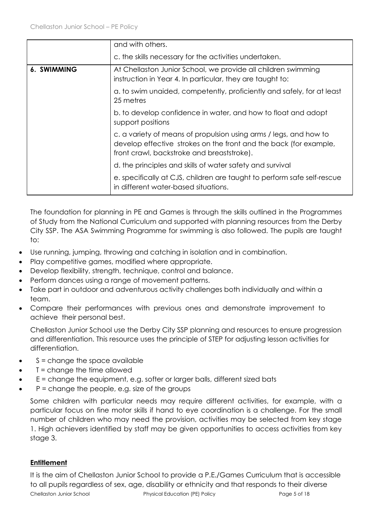|             | and with others.<br>c. the skills necessary for the activities undertaken.                                                                                                           |
|-------------|--------------------------------------------------------------------------------------------------------------------------------------------------------------------------------------|
| 6. SWIMMING | At Chellaston Junior School, we provide all children swimming<br>instruction in Year 4. In particular, they are taught to:                                                           |
|             | a. to swim unaided, competently, proficiently and safely, for at least<br>25 metres                                                                                                  |
|             | b. to develop confidence in water, and how to float and adopt<br>support positions                                                                                                   |
|             | c. a variety of means of propulsion using arms / legs, and how to<br>develop effective strokes on the front and the back (for example,<br>front crawl, backstroke and breaststroke). |
|             | d. the principles and skills of water safety and survival                                                                                                                            |
|             | e. specifically at CJS, children are taught to perform safe self-rescue<br>in different water-based situations.                                                                      |

The foundation for planning in PE and Games is through the skills outlined in the Programmes of Study from the National Curriculum and supported with planning resources from the Derby City SSP. The ASA Swimming Programme for swimming is also followed. The pupils are taught to:

- Use running, jumping, throwing and catching in isolation and in combination.
- Play competitive games, modified where appropriate.
- Develop flexibility, strength, technique, control and balance.
- Perform dances using a range of movement patterns.
- Take part in outdoor and adventurous activity challenges both individually and within a team.
- Compare their performances with previous ones and demonstrate improvement to achieve their personal best.

Chellaston Junior School use the Derby City SSP planning and resources to ensure progression and differentiation. This resource uses the principle of STEP for adjusting lesson activities for differentiation.

- $S =$ change the space available
- $\bullet$   $\top$  = change the time allowed
- E = change the equipment, e.g. softer or larger balls, different sized bats
- $P =$  change the people, e.g. size of the groups

Some children with particular needs may require different activities, for example, with a particular focus on fine motor skills if hand to eye coordination is a challenge. For the small number of children who may need the provision, activities may be selected from key stage 1. High achievers identified by staff may be given opportunities to access activities from key stage 3.

# **Entitlement**

Chellaston Junior School **Physical Education (PE) Policy** Page 5 of 18 It is the aim of Chellaston Junior School to provide a P.E./Games Curriculum that is accessible to all pupils regardless of sex, age, disability or ethnicity and that responds to their diverse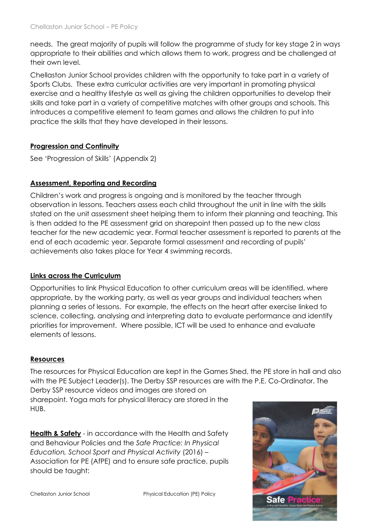needs. The great majority of pupils will follow the programme of study for key stage 2 in ways appropriate to their abilities and which allows them to work, progress and be challenged at their own level.

Chellaston Junior School provides children with the opportunity to take part in a variety of Sports Clubs. These extra curricular activities are very important in promoting physical exercise and a healthy lifestyle as well as giving the children opportunities to develop their skills and take part in a variety of competitive matches with other groups and schools. This introduces a competitive element to team games and allows the children to put into practice the skills that they have developed in their lessons.

# **Progression and Continuity**

See 'Progression of Skills' (Appendix 2)

# **Assessment, Reporting and Recording**

Children's work and progress is ongoing and is monitored by the teacher through observation in lessons. Teachers assess each child throughout the unit in line with the skills stated on the unit assessment sheet helping them to inform their planning and teaching. This is then added to the PE assessment grid on sharepoint then passed up to the new class teacher for the new academic year. Formal teacher assessment is reported to parents at the end of each academic year. Separate formal assessment and recording of pupils' achievements also takes place for Year 4 swimming records.

# **Links across the Curriculum**

Opportunities to link Physical Education to other curriculum areas will be identified, where appropriate, by the working party, as well as year groups and individual teachers when planning a series of lessons. For example, the effects on the heart after exercise linked to science, collecting, analysing and interpreting data to evaluate performance and identify priorities for improvement. Where possible, ICT will be used to enhance and evaluate elements of lessons.

# **Resources**

The resources for Physical Education are kept in the Games Shed, the PE store in hall and also with the PE Subject Leader(s). The Derby SSP resources are with the P.E. Co-Ordinator. The Derby SSP resource videos and images are stored on sharepoint. Yoga mats for physical literacy are stored in the HUB.

**Health & Safety** - in accordance with the Health and Safety and Behaviour Policies and the *Safe Practice: In Physical Education, School Sport and Physical Activity* (2016) – Association for PE (AfPE) and to ensure safe practice, pupils should be taught:



Chellaston Junior School Physical Education (PE) Policy **Safe**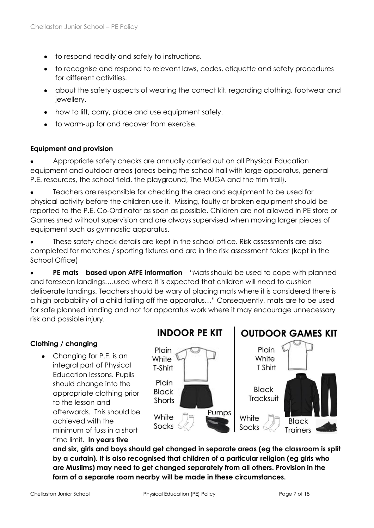- to respond readily and safely to instructions.
- to recognise and respond to relevant laws, codes, etiquette and safety procedures for different activities.
- about the safety aspects of wearing the correct kit, regarding clothing, footwear and jewellery.
- how to lift, carry, place and use equipment safely.
- to warm-up for and recover from exercise.

#### **Equipment and provision**

• Appropriate safety checks are annually carried out on all Physical Education equipment and outdoor areas (areas being the school hall with large apparatus, general P.E. resources, the school field, the playground, The MUGA and the trim trail).

• Teachers are responsible for checking the area and equipment to be used for physical activity before the children use it. Missing, faulty or broken equipment should be reported to the P.E. Co-Ordinator as soon as possible. Children are not allowed in PE store or Games shed without supervision and are always supervised when moving larger pieces of equipment such as gymnastic apparatus.

These safety check details are kept in the school office. Risk assessments are also completed for matches / sporting fixtures and are in the risk assessment folder (kept in the School Office)

• **PE mats** – **based upon AfPE information** – "Mats should be used to cope with planned and foreseen landings….used where it is expected that children will need to cushion deliberate landings. Teachers should be wary of placing mats where it is considered there is a high probability of a child falling off the apparatus…" Consequently, mats are to be used for safe planned landing and not for apparatus work where it may encourage unnecessary risk and possible injury.

#### **Clothing / changing**

• Changing for P.E. is an integral part of Physical Education lessons. Pupils should change into the appropriate clothing prior to the lesson and afterwards. This should be achieved with the minimum of fuss in a short time limit. **In years five**



**and six, girls and boys should get changed in separate areas (eg the classroom is split by a curtain). It is also recognised that children of a particular religion (eg girls who are Muslims) may need to get changed separately from all others. Provision in the form of a separate room nearby will be made in these circumstances.**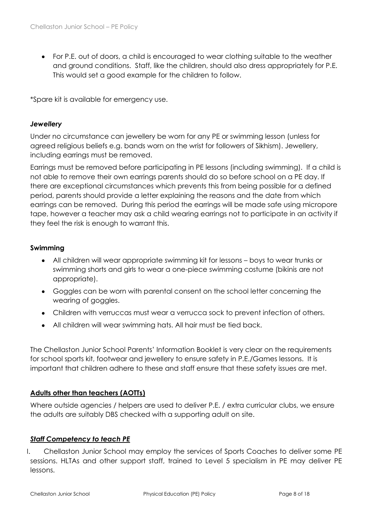• For P.E. out of doors, a child is encouraged to wear clothing suitable to the weather and ground conditions. Staff, like the children, should also dress appropriately for P.E. This would set a good example for the children to follow.

\*Spare kit is available for emergency use.

#### *Jewellery*

Under no circumstance can jewellery be worn for any PE or swimming lesson (unless for agreed religious beliefs e.g. bands worn on the wrist for followers of Sikhism). Jewellery, including earrings must be removed.

Earrings must be removed before participating in PE lessons (including swimming). If a child is not able to remove their own earrings parents should do so before school on a PE day. If there are exceptional circumstances which prevents this from being possible for a defined period, parents should provide a letter explaining the reasons and the date from which earrings can be removed. During this period the earrings will be made safe using micropore tape, however a teacher may ask a child wearing earrings not to participate in an activity if they feel the risk is enough to warrant this.

#### **Swimming**

- All children will wear appropriate swimming kit for lessons boys to wear trunks or swimming shorts and girls to wear a one-piece swimming costume (bikinis are not appropriate).
- Goggles can be worn with parental consent on the school letter concerning the wearing of goggles.
- Children with verruccas must wear a verrucca sock to prevent infection of others.
- All children will wear swimming hats. All hair must be tied back.

The Chellaston Junior School Parents' Information Booklet is very clear on the requirements for school sports kit, footwear and jewellery to ensure safety in P.E./Games lessons. It is important that children adhere to these and staff ensure that these safety issues are met.

#### **Adults other than teachers (AOTTs)**

Where outside agencies / helpers are used to deliver P.E. / extra curricular clubs, we ensure the adults are suitably DBS checked with a supporting adult on site.

#### *Staff Competency to teach PE*

I. Chellaston Junior School may employ the services of Sports Coaches to deliver some PE sessions. HLTAs and other support staff, trained to Level 5 specialism in PE may deliver PE lessons.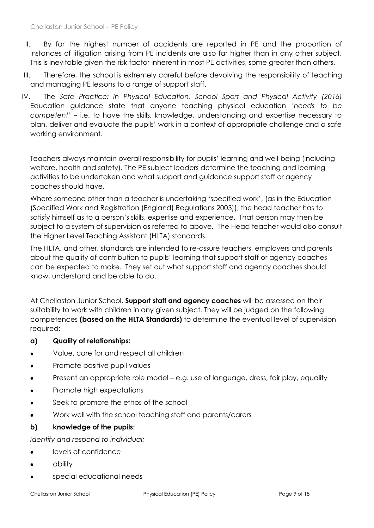- II. By far the highest number of accidents are reported in PE and the proportion of instances of litigation arising from PE incidents are also far higher than in any other subject. This is inevitable given the risk factor inherent in most PE activities, some greater than others.
- III. Therefore, the school is extremely careful before devolving the responsibility of teaching and managing PE lessons to a range of support staff.
- IV. The *Safe Practice: In Physical Education, School Sport and Physical Activity (2016)*  Education guidance state that anyone teaching physical education '*needs to be competent'* – i.e. to have the skills, knowledge, understanding and expertise necessary to plan, deliver and evaluate the pupils' work in a context of appropriate challenge and a safe working environment.

Teachers always maintain overall responsibility for pupils' learning and well-being (including welfare, health and safety). The PE subject leaders determine the teaching and learning activities to be undertaken and what support and guidance support staff or agency coaches should have.

Where someone other than a teacher is undertaking 'specified work', (as in the Education (Specified Work and Registration (England) Regulations 2003)), the head teacher has to satisfy himself as to a person's skills, expertise and experience. That person may then be subject to a system of supervision as referred to above. The Head teacher would also consult the Higher Level Teaching Assistant (HLTA) standards.

The HLTA, and other, standards are intended to re-assure teachers, employers and parents about the quality of contribution to pupils' learning that support staff or agency coaches can be expected to make. They set out what support staff and agency coaches should know, understand and be able to do.

At Chellaston Junior School, **Support staff and agency coaches** will be assessed on their suitability to work with children in any given subject. They will be judged on the following competences **(based on the HLTA Standards)** to determine the eventual level of supervision required:

#### **a) Quality of relationships:**

- Value, care for and respect all children
- Promote positive pupil values
- Present an appropriate role model e.g. use of language, dress, fair play, equality
- Promote high expectations
- Seek to promote the ethos of the school
- Work well with the school teaching staff and parents/carers

#### **b) knowledge of the pupils:**

*Identify and respond to individual:* 

- levels of confidence
- ability
- special educational needs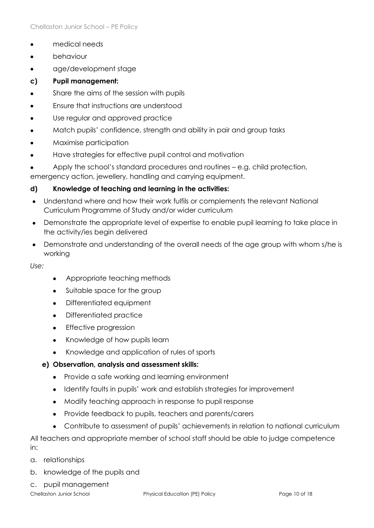- medical needs
- **behaviour**
- age/development stage
- **c) Pupil management:**
- Share the aims of the session with pupils
- Ensure that instructions are understood
- Use regular and approved practice
- Match pupils' confidence, strength and ability in pair and group tasks
- Maximise participation
- Have strategies for effective pupil control and motivation
- Apply the school's standard procedures and routines e.g. child protection,

emergency action, jewellery, handling and carrying equipment.

#### **d) Knowledge of teaching and learning in the activities:**

- Understand where and how their work fulfils or complements the relevant National Curriculum Programme of Study and/or wider curriculum
- Demonstrate the appropriate level of expertise to enable pupil learning to take place in the activity/ies begin delivered
- Demonstrate and understanding of the overall needs of the age group with whom s/he is working

*Use:*

- Appropriate teaching methods
- Suitable space for the group
- Differentiated equipment
- Differentiated practice
- Effective progression
- Knowledge of how pupils learn
- Knowledge and application of rules of sports
- **e) Observation, analysis and assessment skills:**
	- Provide a safe working and learning environment
	- Identify faults in pupils' work and establish strategies for improvement
	- Modify teaching approach in response to pupil response
	- Provide feedback to pupils, teachers and parents/carers
	- Contribute to assessment of pupils' achievements in relation to national curriculum

All teachers and appropriate member of school staff should be able to judge competence in:

- a. relationships
- b. knowledge of the pupils and
- c. pupil management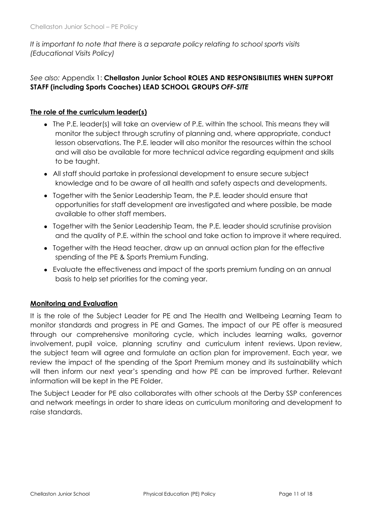*It is important to note that there is a separate policy relating to school sports visits (Educational Visits Policy)*

## *See also:* Appendix 1: **Chellaston Junior School ROLES AND RESPONSIBILITIES WHEN SUPPORT STAFF (including Sports Coaches) LEAD SCHOOL GROUPS** *OFF-SITE*

#### **The role of the curriculum leader(s)**

- The P.E. leader(s) will take an overview of P.E. within the school. This means they will monitor the subject through scrutiny of planning and, where appropriate, conduct lesson observations. The P.E. leader will also monitor the resources within the school and will also be available for more technical advice regarding equipment and skills to be taught.
- All staff should partake in professional development to ensure secure subject knowledge and to be aware of all health and safety aspects and developments.
- Together with the Senior Leadership Team, the P.E. leader should ensure that opportunities for staff development are investigated and where possible, be made available to other staff members.
- Together with the Senior Leadership Team, the P.E. leader should scrutinise provision and the quality of P.E. within the school and take action to improve it where required.
- Together with the Head teacher, draw up an annual action plan for the effective spending of the PE & Sports Premium Funding.
- Evaluate the effectiveness and impact of the sports premium funding on an annual basis to help set priorities for the coming year.

#### **Monitoring and Evaluation**

It is the role of the Subject Leader for PE and The Health and Wellbeing Learning Team to monitor standards and progress in PE and Games. The impact of our PE offer is measured through our comprehensive monitoring cycle, which includes learning walks, governor involvement, pupil voice, planning scrutiny and curriculum intent reviews. Upon review, the subject team will agree and formulate an action plan for improvement. Each year, we review the impact of the spending of the Sport Premium money and its sustainability which will then inform our next year's spending and how PE can be improved further. Relevant information will be kept in the PE Folder.

The Subject Leader for PE also collaborates with other schools at the Derby SSP conferences and network meetings in order to share ideas on curriculum monitoring and development to raise standards.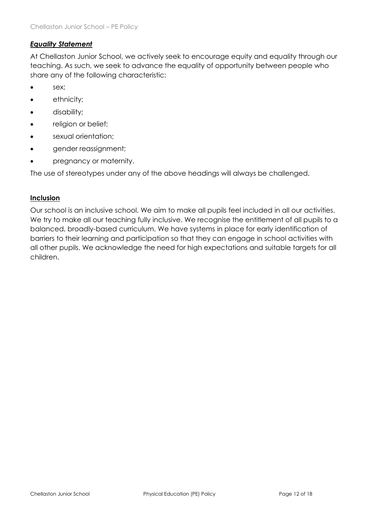### *Equality Statement*

At Chellaston Junior School, we actively seek to encourage equity and equality through our teaching. As such, we seek to advance the equality of opportunity between people who share any of the following characteristic:

- sex;
- ethnicity;
- disability;
- religion or belief;
- sexual orientation;
- gender reassignment;
- pregnancy or maternity.

The use of stereotypes under any of the above headings will always be challenged.

#### **Inclusion**

Our school is an inclusive school. We aim to make all pupils feel included in all our activities. We try to make all our teaching fully inclusive. We recognise the entitlement of all pupils to a balanced, broadly-based curriculum. We have systems in place for early identification of barriers to their learning and participation so that they can engage in school activities with all other pupils. We acknowledge the need for high expectations and suitable targets for all children.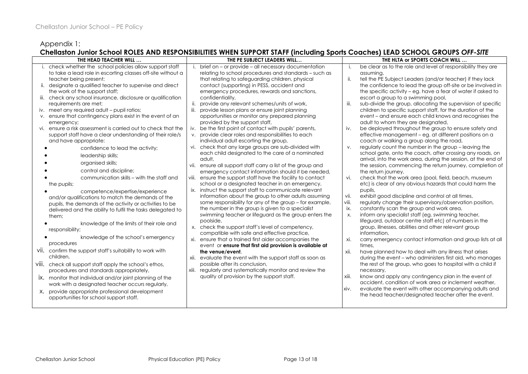### Appendix 1:

#### **Chellaston Junior School ROLES AND RESPONSIBILITIES WHEN SUPPORT STAFF (including Sports Coaches) LEAD SCHOOL GROUPS** *OFF-SITE*

| THE HEAD TEACHER WILL                                         | THE PE SUBJECT LEADERS WILL                                                                           | THE HLTA or SPORTS COACH WILL                                        |
|---------------------------------------------------------------|-------------------------------------------------------------------------------------------------------|----------------------------------------------------------------------|
| i. check whether the school policies allow support staff      | brief on - or provide - all necessary documentation                                                   | i.<br>be clear as to the role and level of responsibility they are   |
| to take a lead role in escorting classes off-site without a   | relating to school procedures and standards - such as                                                 | assuming,                                                            |
| teacher being present;                                        | that relating to safeguarding children, physical                                                      | ii.<br>tell the PE Subject Leaders (and/or teacher) if they lack     |
| ii. designate a qualified teacher to supervise and direct     | contact (supporting) in PESS, accident and                                                            | the confidence to lead the group off-site or be involved in          |
| the work of the support staff;                                | emergency procedures, rewards and sanctions,                                                          | the specific activity - eg. have a fear of water if asked to         |
| iii. check any school insurance, disclosure or qualification  | confidentiality,                                                                                      | escort a group to a swimming pool,                                   |
| requirements are met:                                         | provide any relevant schemes/units of work,<br>-ii.                                                   | iii.<br>sub-divide the group, allocating the supervision of specific |
| iv. meet any required adult - pupil ratios;                   | iii.<br>provide lesson plans or ensure joint planning                                                 | children to specific support staff, for the duration of the          |
| v. ensure that contingency plans exist in the event of an     | opportunities or monitor any prepared planning                                                        | event – and ensure each child knows and recognises the               |
| emergency;                                                    | provided by the support staff,                                                                        | adult to whom they are designated,                                   |
| vi. ensure a risk assessment is carried out to check that the | iv. be the first point of contact with pupils' parents,                                               | iv.<br>be deployed throughout the group to ensure safety and         |
| support staff have a clear understanding of their role/s      | v. provide clear roles and responsibilities to each                                                   | effective management – eg. at different positions on a               |
| and have appropriate:                                         | individual adult escorting the group,                                                                 | coach or walking a group along the road,                             |
| confidence to lead the activity;                              | vi. check that any large groups are sub-divided with                                                  | regularly count the number in the group - leaving the<br>V.          |
| leadership skills;                                            | each child designated to the care of a nominated                                                      | school gate, onto the coach, after crossing any roads, on            |
| organised skills;                                             | adult,                                                                                                | arrival, into the work area, during the session, at the end of       |
|                                                               | vii.<br>ensure all support staff carry a list of the group and                                        | the session, commencing the return journey, completion of            |
| control and discipline;                                       | emergency contact information should it be needed,                                                    | the return journey,                                                  |
| communication skills - with the staff and                     | viii. ensure the support staff have the facility to contact                                           | vi.<br>check that the work area (pool, field, beach, museum          |
| the pupils;                                                   | school or a designated teacher in an emergency,                                                       | etc) is clear of any obvious hazards that could harm the             |
| competence/expertise/experience                               | ix. instruct the support staff to communicate relevant                                                | pupils,                                                              |
| and/or qualifications to match the demands of the             | information about the group to other adults assuming                                                  | vii.<br>exhibit good discipline and control at all times,            |
| pupils, the demands of the activity or activities to be       | some responsibility for any of the group - for example,                                               | viii.<br>regularly change their supervisory/observation position,    |
| delivered and the ability to fulfil the tasks delegated to    | the number in the group is given to a specialist                                                      | ix.<br>constantly scan the group and work area,                      |
| them;                                                         | swimming teacher or lifeguard as the group enters the                                                 | inform any specialist staff (eg. swimming teacher,<br><b>X.</b>      |
| knowledge of the limits of their role and                     | poolside,                                                                                             | lifeguard, outdoor centre staff etc) of numbers in the               |
| responsibility;                                               | x. check the support staff's level of competency,                                                     | group, illnesses, abilities and other relevant group<br>information. |
| knowledge of the school's emergency                           | compatible with safe and effective practice,<br>xi. ensure that a trained first aider accompanies the | xi.<br>carry emergency contact information and group lists at all    |
| procedures                                                    | event or ensure that first aid provision is available at                                              | times.                                                               |
| VII. confirm the support staff's suitability to work with     | the venue/event.                                                                                      | have planned how to deal with any illness that arises<br>xii.        |
| children.                                                     | xii. evaluate the event with the support staff as soon as                                             | during the event – who administers first aid, who manages            |
| Viii. check all support staff apply the school's ethos,       | possible after its conclusion,                                                                        | the rest of the group, who goes to hospital with a child if          |
| procedures and standards appropriately,                       | xiii. regularly and systematically monitor and review the                                             | necessary,                                                           |
|                                                               | quality of provision by the support staff.                                                            | xiii.<br>know and apply any contingency plan in the event of         |
| ix. monitor that individual and/or joint planning of the      |                                                                                                       | accident, condition of work area or inclement weather.               |
| work with a designated teacher occurs regularly,              |                                                                                                       | XIV.<br>evaluate the event with other accompanying adults and        |
| X. provide appropriate professional development               |                                                                                                       | the head teacher/designated teacher after the event.                 |
| opportunities for school support staff.                       |                                                                                                       |                                                                      |
|                                                               |                                                                                                       |                                                                      |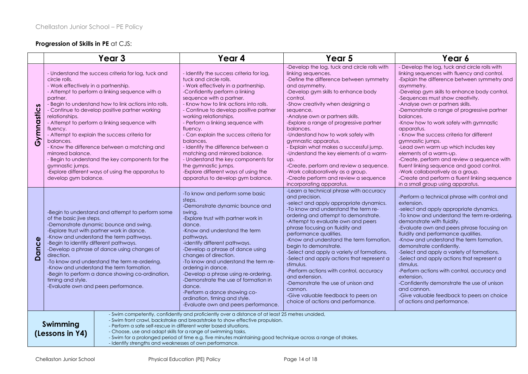#### **Progression of Skills in PE** at CJS:

|              | Year <sub>3</sub>                                                                                                                                                                                                                                                                                                                                                                                                                                                                                                                                                                                                                                           | Year 4                                                                                                                                                                                                                                                                                                                                                                                                                                                                                                                                                                                                              | Year <sub>5</sub>                                                                                                                                                                                                                                                                                                                                                                                                                                                                                                                                                                                                                                                | Year 6                                                                                                                                                                                                                                                                                                                                                                                                                                                                                                                                                                                                                                                                                                                                                            |
|--------------|-------------------------------------------------------------------------------------------------------------------------------------------------------------------------------------------------------------------------------------------------------------------------------------------------------------------------------------------------------------------------------------------------------------------------------------------------------------------------------------------------------------------------------------------------------------------------------------------------------------------------------------------------------------|---------------------------------------------------------------------------------------------------------------------------------------------------------------------------------------------------------------------------------------------------------------------------------------------------------------------------------------------------------------------------------------------------------------------------------------------------------------------------------------------------------------------------------------------------------------------------------------------------------------------|------------------------------------------------------------------------------------------------------------------------------------------------------------------------------------------------------------------------------------------------------------------------------------------------------------------------------------------------------------------------------------------------------------------------------------------------------------------------------------------------------------------------------------------------------------------------------------------------------------------------------------------------------------------|-------------------------------------------------------------------------------------------------------------------------------------------------------------------------------------------------------------------------------------------------------------------------------------------------------------------------------------------------------------------------------------------------------------------------------------------------------------------------------------------------------------------------------------------------------------------------------------------------------------------------------------------------------------------------------------------------------------------------------------------------------------------|
| Gymnastics   | - Understand the success criteria for log, tuck and<br>circle rolls.<br>- Work effectively in a partnership.<br>- Attempt to perform a linking sequence with a<br>partner.<br>- Begin to understand how to link actions into rolls.<br>- Continue to develop positive partner working<br>relationships.<br>- Attempt to perform a linking sequence with<br>fluency.<br>- Attempt to explain the success criteria for<br>balances.<br>- Know the difference between a matching and<br>mirrored balance.<br>- Begin to understand the key components for the<br>gymnastic jumps.<br>-Explore different ways of using the apparatus to<br>develop gym balance. | - Identify the success criteria for log,<br>tuck and circle rolls.<br>- Work effectively in a partnership.<br>-Confidently perform a linking<br>sequence with a partner.<br>- Know how to link actions into rolls.<br>- Continue to develop positive partner<br>working relationships.<br>- Perform a linking sequence with<br>fluency.<br>- Can explain the success criteria for<br>balances.<br>- Identify the difference between a<br>matching and mirrored balance.<br>- Understand the key components for<br>the gymnastic jumps.<br>-Explore different ways of using the<br>apparatus to develop gym balance. | -Develop the log, tuck and circle rolls with<br>linking sequences.<br>-Define the difference between symmetry<br>and asymmetry.<br>-Develop gym skills to enhance body<br>control.<br>-Show creativity when designing a<br>sequence,<br>-Analyse own or partners skills.<br>-Explore a range of progressive partner<br>balances.<br>-Understand how to work safely with<br>gymnastic apparatus.<br>- Explain what makes a successful jump.<br>-Understand the key elements of a warm-<br>UD.<br>-Create, perform and review a sequence.<br>-Work collaboratively as a group.<br>-Create perform and review a sequence<br>incorporating apparatus.                | - Develop the log, tuck and circle rolls with<br>linking sequences with fluency and control.<br>-Explain the difference between symmetry and<br>asymmetry.<br>-Develop gym skills to enhance body control.<br>-Sequences must show creativity.<br>-Analyse own or partners skills.<br>-Demonstrate a range of progressive partner<br>balances.<br>-Know how to work safely with gymnastic<br>apparatus.<br>- Know the success criteria for different<br>gymnastic jumps.<br>-Lead own warm up which includes key<br>elements of a warm-up.<br>-Create, perform and review a sequence with<br>fluent linking sequence and good control.<br>-Work collaboratively as a group.<br>-Create and perform a fluent linking sequence<br>in a small group using apparatus. |
| <b>Dance</b> | -Begin to understand and attempt to perform some<br>of the basic jive steps.<br>-Demonstrate dynamic bounce and swing.<br>-Explore trust with partner work in dance.<br>-Know and understand the term pathways.<br>-Begin to identify different pathways.<br>-Develop a phrase of dance using changes of<br>direction.<br>-To know and understand the term re-ordering.<br>-Know and understand the term formation.<br>-Begin to perform a dance showing co-ordination,<br>timing and style.<br>-Evaluate own and peers performance.                                                                                                                        | -To know and perform some basic<br>steps.<br>-Demonstrate dynamic bounce and<br>swing.<br>-Explore trust with partner work in<br>dance.<br>-Know and understand the term<br>pathways.<br>-identify different pathways.<br>-Develop a phrase of dance using<br>changes of direction.<br>-To know and understand the term re-<br>ordering in dance.<br>-Develop a phrase using re-ordering.<br>-Demonstrate the use of formation in<br>dance.<br>-Perform a dance showing co-<br>ordination, timing and style.<br>-Evaluate own and peers performance.                                                                | -Learn a technical phrase with accuracy<br>and precision.<br>-select and apply appropriate dynamics.<br>-To know and understand the term re-<br>ordering and attempt to demonstrate.<br>-Attempt to evaluate own and peers<br>phrase focusing on fluidity and<br>performance qualities.<br>-Know and understand the term formation.<br>begin to demonstrate.<br>-Select and apply a variety of formations.<br>-Select and apply actions that represent a<br>stimulus.<br>-Perform actions with control, accuracy<br>and extension.<br>-Demonstrate the use of unison and<br>cannon.<br>-Give valuable feedback to peers on<br>choice of actions and performance. | -Perform a technical phrase with control and<br>extension.<br>-select and apply appropriate dynamics.<br>-To know and understand the term re-ordering,<br>demonstrate with fluidity.<br>-Evaluate own and peers phrase focusing on<br>fluidity and performance qualities.<br>-Know and understand the term formation,<br>demonstrate confidently.<br>-Select and apply a variety of formations.<br>-Select and apply actions that represent a<br>stimulus.<br>-Perform actions with control, accuracy and<br>extension.<br>-Confidently demonstrate the use of unison<br>and cannon.<br>-Give valuable feedback to peers on choice<br>of actions and performance.                                                                                                 |
|              | - Swim competently, confidently and proficiently over a distance of at least 25 metres unaided,<br>- Swim front crawl, backstroke and breaststroke to show effective propulsion.<br>Swimming<br>- Perform a safe self-rescue in different water based situations.<br>- Choose, use and adapt skills for a range of swimming tasks.<br>(Lessons in Y4)<br>- Swim for a prolonged period of time e.g. five minutes maintaining good technique across a range of strokes.<br>- Identify strengths and weaknesses of own performance.                                                                                                                           |                                                                                                                                                                                                                                                                                                                                                                                                                                                                                                                                                                                                                     |                                                                                                                                                                                                                                                                                                                                                                                                                                                                                                                                                                                                                                                                  |                                                                                                                                                                                                                                                                                                                                                                                                                                                                                                                                                                                                                                                                                                                                                                   |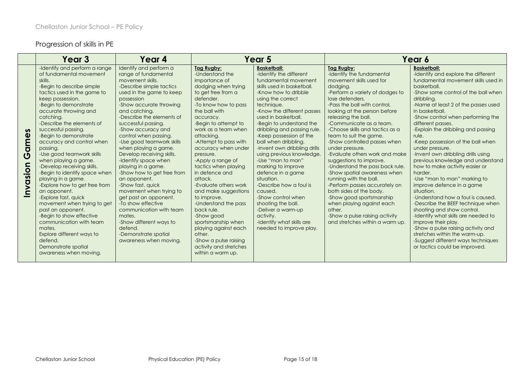# Progression of skills in PE

|                       | Year 3                                                                                                                                                                                                                                                                                                                                                                                                                                                                                                                                                                                                                                                                                                                                                                    | Year 4                                                                                                                                                                                                                                                                                                                                                                                                                                                                                                                                                                                                                                                                                            | Year 5                                                                                                                                                                                                                                                                                                                                                                                                                                                                                                                                                                                                                 |                                                                                                                                                                                                                                                                                                                                                                                                                                                                                                                                                                                                                                                           |                                                                                                                                                                                                                                                                                                                                                                                                                                                                                                                                                                                                                                                                                                                                       | Year 6                                                                                                                                                                                                                                                                                                                                                                                                                                                                                                                                                                                                                                                                                                                                                                                                                                                                                                                |
|-----------------------|---------------------------------------------------------------------------------------------------------------------------------------------------------------------------------------------------------------------------------------------------------------------------------------------------------------------------------------------------------------------------------------------------------------------------------------------------------------------------------------------------------------------------------------------------------------------------------------------------------------------------------------------------------------------------------------------------------------------------------------------------------------------------|---------------------------------------------------------------------------------------------------------------------------------------------------------------------------------------------------------------------------------------------------------------------------------------------------------------------------------------------------------------------------------------------------------------------------------------------------------------------------------------------------------------------------------------------------------------------------------------------------------------------------------------------------------------------------------------------------|------------------------------------------------------------------------------------------------------------------------------------------------------------------------------------------------------------------------------------------------------------------------------------------------------------------------------------------------------------------------------------------------------------------------------------------------------------------------------------------------------------------------------------------------------------------------------------------------------------------------|-----------------------------------------------------------------------------------------------------------------------------------------------------------------------------------------------------------------------------------------------------------------------------------------------------------------------------------------------------------------------------------------------------------------------------------------------------------------------------------------------------------------------------------------------------------------------------------------------------------------------------------------------------------|---------------------------------------------------------------------------------------------------------------------------------------------------------------------------------------------------------------------------------------------------------------------------------------------------------------------------------------------------------------------------------------------------------------------------------------------------------------------------------------------------------------------------------------------------------------------------------------------------------------------------------------------------------------------------------------------------------------------------------------|-----------------------------------------------------------------------------------------------------------------------------------------------------------------------------------------------------------------------------------------------------------------------------------------------------------------------------------------------------------------------------------------------------------------------------------------------------------------------------------------------------------------------------------------------------------------------------------------------------------------------------------------------------------------------------------------------------------------------------------------------------------------------------------------------------------------------------------------------------------------------------------------------------------------------|
| S<br>Game<br>Invasion | -Identify and perform a range<br>of fundamental movement<br>skills.<br>-Begin to describe simple<br>tactics used in the game to<br>keep possession.<br>-Begin to demonstrate<br>accurate throwing and<br>catching.<br>-Describe the elements of<br>successful passing.<br>-Begin to demonstrate<br>accuracy and control when<br>passing.<br>-Use good teamwork skills<br>when playing a game.<br>-Develop receiving skills.<br>-Begin to identify space when<br>playing in a game.<br>-Explore how to get free from<br>an opponent.<br>-Explore fast, quick<br>movement when trying to get<br>past an opponent.<br>-Begin to show effective<br>communication with team<br>mates.<br>Explore different ways to<br>defend.<br>Demonstrate spatial<br>awareness when moving. | Identify and perform a<br>range of fundamental<br>movement skills.<br>-Describe simple tactics<br>used in the game to keep<br>possession<br>-Show accurate throwing<br>and catching.<br>-Describe the elements of<br>successful passing.<br>-Show accuracy and<br>control when passing.<br>-Use good teamwork skills<br>when playing a game.<br>Develop receiving skills.<br>-Identify space when<br>playing in a game.<br>-Show how to get free from<br>an opponent.<br>-Show fast, quick<br>movement when trying to<br>get past an opponent.<br>-To show effective<br>communication with team<br>mates.<br>-Show different ways to<br>defend.<br>-Demonstrate spatial<br>awareness when moving. | Tag Rugby:<br>-Understand the<br>importance of<br>dodging when trying<br>to get free from a<br>defender.<br>-To know how to pass<br>the ball with<br>accuracy.<br>-Begin to attempt to<br>work as a team when<br>attacking.<br>-Attempt to pass with<br>accuracy when under<br>pressure.<br>-Apply a range of<br>tactics when playing<br>in defence and<br>attack.<br>-Evaluate others work<br>and make suggestions<br>to improve.<br>-Understand the pass<br>back rule.<br>-Show aood<br>sportsmanship when<br>playing against each<br>other.<br>-Show a pulse raising<br>activity and stretches<br>within a warm up. | <b>Basketball:</b><br>-Identify the different<br>fundamental movement<br>skills used in basketball.<br>-Know how to dribble<br>using the correct<br>technique.<br>-Know the different passes<br>used in basketball.<br>-Begin to understand the<br>dribbling and passing rule.<br>-Keep possession of the<br>ball when dribbling.<br>-Invent own dribbling drills<br>using previous knowledge.<br>-Use "man to man"<br>marking to improve<br>defence in a game<br>situation.<br>-Describe how a foul is<br>caused.<br>-Show control when<br>shooting the ball.<br>-Deliver a warm-up<br>activity.<br>-Identify what skills are<br>needed to improve play. | Tag Rugby:<br>-Identify the fundamental<br>movement skills used for<br>dodging.<br>-Perform a variety of dodges to<br>lose defenders.<br>-Pass the ball with control.<br>looking at the person before<br>releasing the ball.<br>-Communicate as a team.<br>-Choose skills and tactics as a<br>team to suit the game.<br>-Show controlled passes when<br>under pressure.<br>-Evaluate others work and make<br>suggestions to improve.<br>-Understand the pass back rule.<br>-Show spatial awareness when<br>running with the ball.<br>-Perform passes accurately on<br>both sides of the body.<br>-Show good sportsmanship<br>when playing against each<br>other.<br>-Show a pulse raising activity<br>and stretches within a warm up. | <b>Basketball:</b><br>-Identify and explore the different<br>fundamental movement skills used in<br>basketball.<br>-Show some control of the ball when<br>dribbling.<br>-Name at least 2 of the passes used<br>in basketball.<br>-Show control when performing the<br>different passes.<br>-Explain the dribbling and passing<br>rule.<br>-Keep possession of the ball when<br>under pressure.<br>-Invent own dribbling drills using<br>previous knowledge and understand<br>how to make activity easier or<br>harder.<br>-Use "man to man" marking to<br>improve defence in a game<br>situation.<br>-Understand how a foul is caused.<br>-Describe the BEEF technique when<br>shooting and show control.<br>-Identify what skills are needed to<br>improve their play.<br>-Show a pulse raising activity and<br>stretches within the warm-up.<br>-Suggest different ways techniques<br>or tactics could be improved. |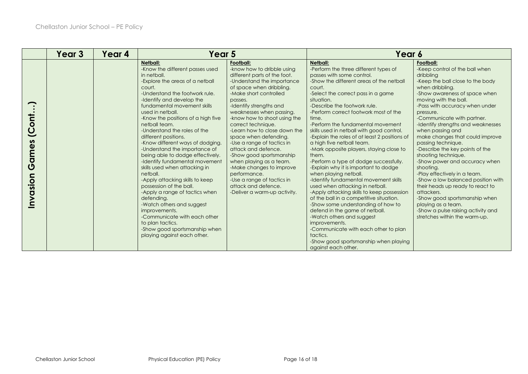|                                             | Year 3 | Year 4 | Year 5                                                                                                                                                                                                                                                                                                                                                                                                                                                                                                                                                                                                                                                                                                                                                                                                                  |                                                                                                                                                                                                                                                                                                                                                                                                                                                                                                                                                                                           | Year 6                                                                                                                                                                                                                                                                                                                                                                                                                                                                                                                                                                                                                                                                                                                                                                                                                                                                                                                                                                                                                            |                                                                                                                                                                                                                                                                                                                                                                                                                                                                                                                                                                                                                                                                                                                                         |
|---------------------------------------------|--------|--------|-------------------------------------------------------------------------------------------------------------------------------------------------------------------------------------------------------------------------------------------------------------------------------------------------------------------------------------------------------------------------------------------------------------------------------------------------------------------------------------------------------------------------------------------------------------------------------------------------------------------------------------------------------------------------------------------------------------------------------------------------------------------------------------------------------------------------|-------------------------------------------------------------------------------------------------------------------------------------------------------------------------------------------------------------------------------------------------------------------------------------------------------------------------------------------------------------------------------------------------------------------------------------------------------------------------------------------------------------------------------------------------------------------------------------------|-----------------------------------------------------------------------------------------------------------------------------------------------------------------------------------------------------------------------------------------------------------------------------------------------------------------------------------------------------------------------------------------------------------------------------------------------------------------------------------------------------------------------------------------------------------------------------------------------------------------------------------------------------------------------------------------------------------------------------------------------------------------------------------------------------------------------------------------------------------------------------------------------------------------------------------------------------------------------------------------------------------------------------------|-----------------------------------------------------------------------------------------------------------------------------------------------------------------------------------------------------------------------------------------------------------------------------------------------------------------------------------------------------------------------------------------------------------------------------------------------------------------------------------------------------------------------------------------------------------------------------------------------------------------------------------------------------------------------------------------------------------------------------------------|
| (Cont<br>ames<br>$\overline{O}$<br>Invasion |        |        | <b>Netball:</b><br>-Know the different passes used<br>in netball.<br>-Explore the areas of a netball<br>court.<br>-Understand the footwork rule.<br>-Identify and develop the<br>fundamental movement skills<br>used in netball.<br>-Know the positions of a high five<br>netball team.<br>-Understand the roles of the<br>different positions.<br>-Know different ways of dodging.<br>-Understand the importance of<br>being able to dodge effectively.<br>-Identify fundamental movement<br>skills used when attacking in<br>netball.<br>-Apply attacking skills to keep<br>possession of the ball.<br>-Apply a range of tactics when<br>defending.<br>-Watch others and suggest<br>improvements.<br>-Communicate with each other<br>to plan tactics.<br>-Show good sportsmanship when<br>playing against each other. | Football:<br>-know how to dribble using<br>different parts of the foot.<br>-Understand the importance<br>of space when dribbling.<br>-Make short controlled<br>passes.<br>-Identify strengths and<br>weaknesses when passing.<br>-know how to shoot using the<br>correct technique.<br>-Learn how to close down the<br>space when defending.<br>-Use a range of tactics in<br>attack and defence.<br>-Show good sportsmanship<br>when playing as a team.<br>-Make changes to improve<br>performance.<br>-Use a range of tactics in<br>attack and defence.<br>-Deliver a warm-up activity. | <b>Netball:</b><br>-Perform the three different types of<br>passes with some control.<br>-Show the different areas of the netball<br>court.<br>-Select the correct pass in a game<br>situation.<br>-Describe the footwork rule.<br>-Perform correct footwork most of the<br>time.<br>-Perform the fundamental movement<br>skills used in netball with good control.<br>-Explain the roles of at least 2 positions of<br>a high five netball team.<br>-Mark opposite players, staying close to<br>them.<br>-Perform a type of dodge successfully.<br>-Explain why it is important to dodge<br>when playing netball.<br>-Identify fundamental movement skills<br>used when attacking in netball.<br>-Apply attacking skills to keep possession<br>of the ball in a competitive situation.<br>-Show some understanding of how to<br>defend in the game of netball.<br>-Watch others and suggest<br>improvements.<br>-Communicate with each other to plan<br>tactics.<br>-Show good sportsmanship when playing<br>against each other. | Football:<br>-Keep control of the ball when<br>dribbling<br>-Keep the ball close to the body<br>when dribbling.<br>-Show awareness of space when<br>moving with the ball.<br>-Pass with accuracy when under<br>pressure.<br>-Communicate with partner.<br>-Identify strengths and weaknesses<br>when passing and<br>make changes that could improve<br>passing technique.<br>-Describe the key points of the<br>shooting technique.<br>-Show power and accuracy when<br>shooting.<br>-Play effectively in a team.<br>-Show a low balanced position with<br>their heads up ready to react to<br>attackers.<br>-Show good sportsmanship when<br>playing as a team.<br>-Show a pulse raising activity and<br>stretches within the warm-up. |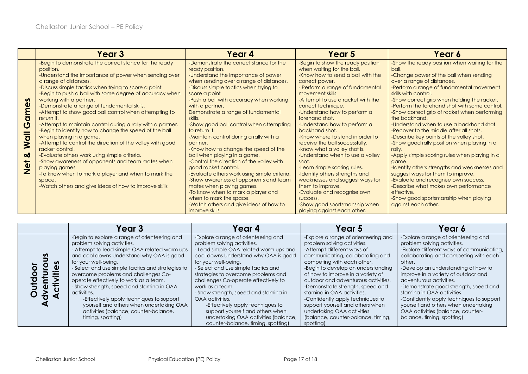|                                                                   | Year <sub>3</sub>                                                                                                                                                                                                                                                                                                                                                                                                                                                                                                                                                                                                                                                                                                                                                                                                                                                                                             | Year 4                                                                                                                                                                                                                                                                                                                                                                                                                                                                                                                                                                                                                                                                                                                                                                                                                                    | Year 5                                                                                                                                                                                                                                                                                                                                                                                                                                                                                                                                                                                                                                                                                                                               | Year 6                                                                                                                                                                                                                                                                                                                                                                                                                                                                                                                                                                                                                                                                                                                                                                                                                                                                        |
|-------------------------------------------------------------------|---------------------------------------------------------------------------------------------------------------------------------------------------------------------------------------------------------------------------------------------------------------------------------------------------------------------------------------------------------------------------------------------------------------------------------------------------------------------------------------------------------------------------------------------------------------------------------------------------------------------------------------------------------------------------------------------------------------------------------------------------------------------------------------------------------------------------------------------------------------------------------------------------------------|-------------------------------------------------------------------------------------------------------------------------------------------------------------------------------------------------------------------------------------------------------------------------------------------------------------------------------------------------------------------------------------------------------------------------------------------------------------------------------------------------------------------------------------------------------------------------------------------------------------------------------------------------------------------------------------------------------------------------------------------------------------------------------------------------------------------------------------------|--------------------------------------------------------------------------------------------------------------------------------------------------------------------------------------------------------------------------------------------------------------------------------------------------------------------------------------------------------------------------------------------------------------------------------------------------------------------------------------------------------------------------------------------------------------------------------------------------------------------------------------------------------------------------------------------------------------------------------------|-------------------------------------------------------------------------------------------------------------------------------------------------------------------------------------------------------------------------------------------------------------------------------------------------------------------------------------------------------------------------------------------------------------------------------------------------------------------------------------------------------------------------------------------------------------------------------------------------------------------------------------------------------------------------------------------------------------------------------------------------------------------------------------------------------------------------------------------------------------------------------|
| mes<br>$\overline{\mathbf{C}}$<br>Ō<br>Wall<br>ಯ<br>$\frac{1}{2}$ | -Begin to demonstrate the correct stance for the ready<br>position.<br>-Understand the importance of power when sending over<br>a range of distances.<br>-Discuss simple tactics when trying to score a point<br>-Begin to push a ball with some degree of accuracy when<br>working with a partner.<br>-Demonstrate a range of fundamental skills.<br>-Attempt to show good ball control when attempting to<br>return it.<br>-Attempt to maintain control during a rally with a partner.<br>-Begin to identify how to change the speed of the ball<br>when playing in a game.<br>-Attempt to control the direction of the volley with good<br>racket control.<br>-Evaluate others work using simple criteria.<br>-Show awareness of opponents and team mates when<br>playing games.<br>-To know when to mark a player and when to mark the<br>space.<br>-Watch others and give ideas of how to improve skills | -Demonstrate the correct stance for the<br>ready position.<br>-Understand the importance of power<br>when sending over a range of distances.<br>-Discuss simple tactics when trying to<br>score a point<br>-Push a ball with accuracy when working<br>with a partner.<br>Demonstrate a range of fundamental<br>skills.<br>-Show good ball control when attempting<br>to return it.<br>-Maintain control during a rally with a<br>partner.<br>-Know how to change the speed of the<br>ball when playing in a game.<br>-Control the direction of the volley with<br>good racket control.<br>-Evaluate others work using simple criteria.<br>-Show awareness of opponents and team<br>mates when playing games.<br>-To know when to mark a player and<br>when to mark the space.<br>-Watch others and give ideas of how to<br>improve skills | -Begin to show the ready position<br>when waiting for the ball.<br>-Know how to send a ball with the<br>correct power.<br>- Perform a range of fundamental<br>movement skills.<br>-Attempt to use a racket with the<br>correct technique.<br>-Understand how to perform a<br>forehand shot.<br>-Understand how to perform a<br>backhand shot.<br>-Know where to stand in order to<br>receive the ball successfully.<br>-know what a volley shot is.<br>-Understand when to use a volley<br>shot.<br>-Learn simple scoring rules.<br>-Identify others strengths and<br>weaknesses and suggest ways for<br>them to improve.<br>-Evaluate and recognise own<br>success.<br>-Show good sportsmanship when<br>playing against each other. | -Show the ready position when waiting for the<br>ball.<br>-Change power of the ball when sending<br>over a range of distances.<br>-Perform a range of fundamental movement<br>skills with control.<br>-Show correct grip when holding the racket.<br>-Perform the forehand shot with some control.<br>-Show correct grip of racket when performing<br>the backhand.<br>-Understand when to use a backhand shot.<br>-Recover to the middle after all shots.<br>-Describe key points of the volley shot.<br>-Show good rally position when playing in a<br>rally.<br>-Apply simple scoring rules when playing in a<br>game.<br>-Identify others strengths and weaknesses and<br>suggest ways for them to improve.<br>-Evaluate and recognise own success.<br>-Describe what makes own performance<br>effective.<br>-Show good sportsmanship when playing<br>against each other. |

|           | Year 3                                                                                                                                                                                                                                                                                                                                                                                                                                                                                                                                                      | Year 4                                                                                                                                                                                                                                                                                                                                                                                                                                                                                                                                  | Year 5                                                                                                                                                                                                                                                                                                                                                                                                                                                                                                           | Year 6                                                                                                                                                                                                                                                                                                                                                                                                                                                                                                     |
|-----------|-------------------------------------------------------------------------------------------------------------------------------------------------------------------------------------------------------------------------------------------------------------------------------------------------------------------------------------------------------------------------------------------------------------------------------------------------------------------------------------------------------------------------------------------------------------|-----------------------------------------------------------------------------------------------------------------------------------------------------------------------------------------------------------------------------------------------------------------------------------------------------------------------------------------------------------------------------------------------------------------------------------------------------------------------------------------------------------------------------------------|------------------------------------------------------------------------------------------------------------------------------------------------------------------------------------------------------------------------------------------------------------------------------------------------------------------------------------------------------------------------------------------------------------------------------------------------------------------------------------------------------------------|------------------------------------------------------------------------------------------------------------------------------------------------------------------------------------------------------------------------------------------------------------------------------------------------------------------------------------------------------------------------------------------------------------------------------------------------------------------------------------------------------------|
| n<br>itie | -Begin to explore a range of orienteering and<br>problem solving activities.<br>- Attempt to lead simple OAA related warm ups<br>and cool downs Understand why OAA is good<br>for your well-being.<br>- Select and use simple tactics and strategies to<br>overcome problems and challenges Co-<br>operate effectively to work as a team.<br>- Show strength, speed and stamina in OAA<br>activities.<br>-Effectively apply techniques to support<br>yourself and others when undertaking OAA<br>activities (balance, counter-balance,<br>timing, spotting) | -Explore a range of orienteering and<br>problem solving activities.<br>- Lead simple OAA related warm ups and<br>cool downs Understand why OAA is good<br>for your well-beina.<br>Select and use simple tactics and<br>strategies to overcome problems and<br>challenges Co-operate effectively to<br>work as a team.<br>- Show strength, speed and staming in<br>OAA activities.<br>-Effectively apply techniques to<br>support yourself and others when<br>undertaking OAA activities (balance,<br>counter-balance, timing, spotting) | -Explore a range of orienteering and<br>problem solving activities.<br>-Attempt different ways of<br>communicating, collaborating and<br>competing with each other.<br>-Begin to develop an understanding<br>of how to improve in a variety of<br>outdoor and adventurous activities.<br>-Demonstrate strength, speed and<br>stamina in OAA activities.<br>-Confidently apply techniques to<br>support yourself and others when<br>undertaking OAA activities<br>(balance, counter-balance, timing,<br>spotting) | -Explore a range of orienteering and<br>problem solving activities.<br>-Explore different ways of communicating,<br>collaborating and competing with each<br>other.<br>-Develop an understanding of how to<br>improve in a variety of outdoor and<br>adventurous activities.<br>-Demonstrate good strength, speed and<br>stamina in OAA activities.<br>-Confidently apply techniques to support<br>yourself and others when undertaking<br>OAA activities (balance, counter-<br>balance, timing, spotting) |